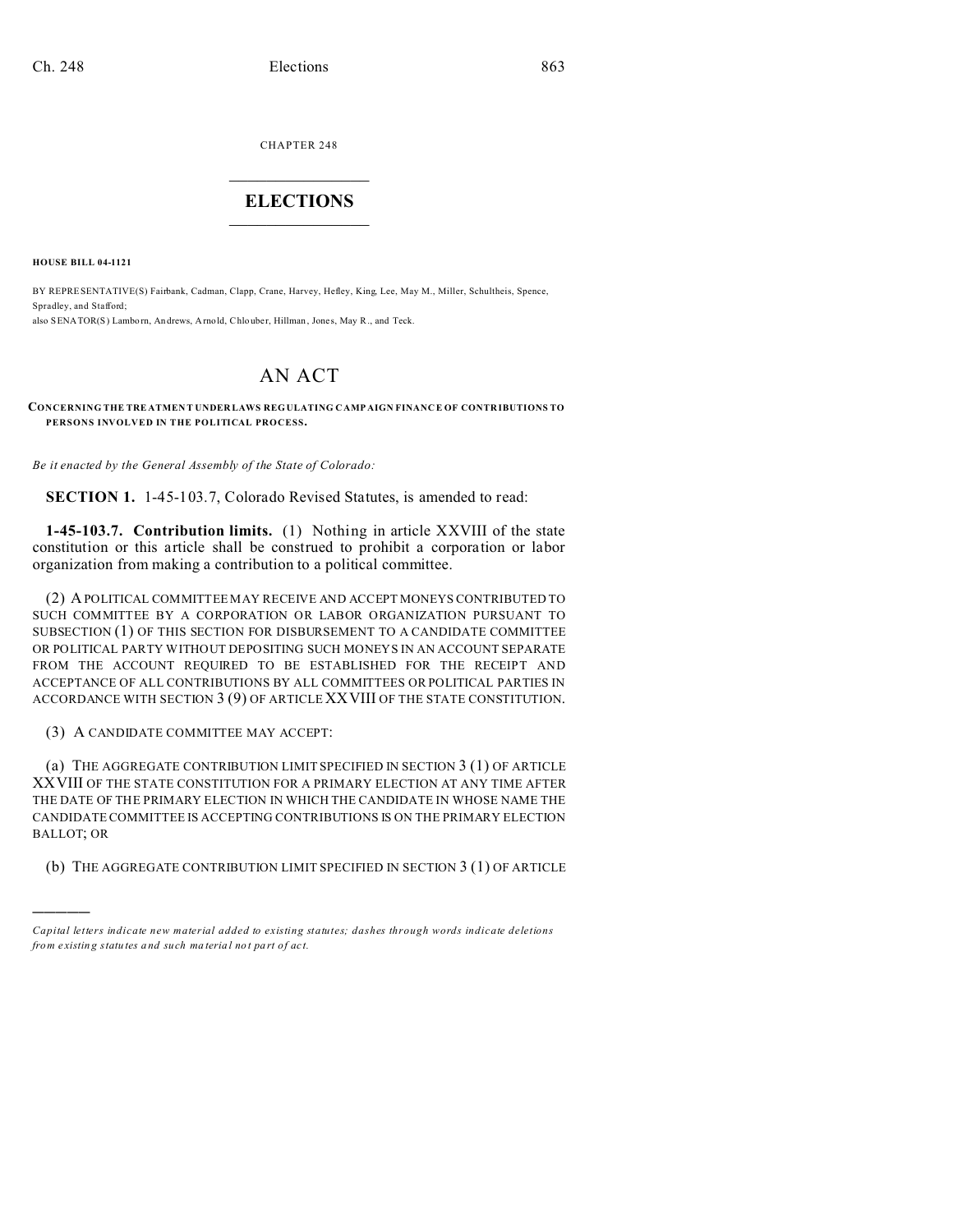CHAPTER 248  $\overline{\phantom{a}}$  , where  $\overline{\phantom{a}}$ 

## **ELECTIONS**  $\_$   $\_$   $\_$   $\_$   $\_$   $\_$   $\_$   $\_$

**HOUSE BILL 04-1121**

)))))

BY REPRESENTATIVE(S) Fairbank, Cadman, Clapp, Crane, Harvey, Hefley, King, Lee, May M., Miller, Schultheis, Spence, Spradley, and Stafford; also SENATOR(S) Lamborn, An drews, Arnold, Chlouber, Hillman, Jones, May R., and Teck.

## AN ACT

**CONCERNING THE TRE ATMEN T UNDER LAWS REGULATING C AMP AIGN FINANC E OF CONTR IBUTIONS TO PERSONS INVOLVED IN THE POLITICAL PROCESS.**

*Be it enacted by the General Assembly of the State of Colorado:*

**SECTION 1.** 1-45-103.7, Colorado Revised Statutes, is amended to read:

**1-45-103.7. Contribution limits.** (1) Nothing in article XXVIII of the state constitution or this article shall be construed to prohibit a corporation or labor organization from making a contribution to a political committee.

(2) A POLITICAL COMMITTEE MAY RECEIVE AND ACCEPT MONEYS CONTRIBUTED TO SUCH COMMITTEE BY A CORPORATION OR LABOR ORGANIZATION PURSUANT TO SUBSECTION (1) OF THIS SECTION FOR DISBURSEMENT TO A CANDIDATE COMMITTEE OR POLITICAL PARTY WITHOUT DEPOSITING SUCH MONEYS IN AN ACCOUNT SEPARATE FROM THE ACCOUNT REQUIRED TO BE ESTABLISHED FOR THE RECEIPT AND ACCEPTANCE OF ALL CONTRIBUTIONS BY ALL COMMITTEES OR POLITICAL PARTIES IN ACCORDANCE WITH SECTION 3 (9) OF ARTICLE XXVIII OF THE STATE CONSTITUTION.

(3) A CANDIDATE COMMITTEE MAY ACCEPT:

(a) THE AGGREGATE CONTRIBUTION LIMIT SPECIFIED IN SECTION 3 (1) OF ARTICLE XXVIII OF THE STATE CONSTITUTION FOR A PRIMARY ELECTION AT ANY TIME AFTER THE DATE OF THE PRIMARY ELECTION IN WHICH THE CANDIDATE IN WHOSE NAME THE CANDIDATE COMMITTEE IS ACCEPTING CONTRIBUTIONS IS ON THE PRIMARY ELECTION BALLOT; OR

(b) THE AGGREGATE CONTRIBUTION LIMIT SPECIFIED IN SECTION 3 (1) OF ARTICLE

*Capital letters indicate new material added to existing statutes; dashes through words indicate deletions from e xistin g statu tes a nd such ma teria l no t pa rt of ac t.*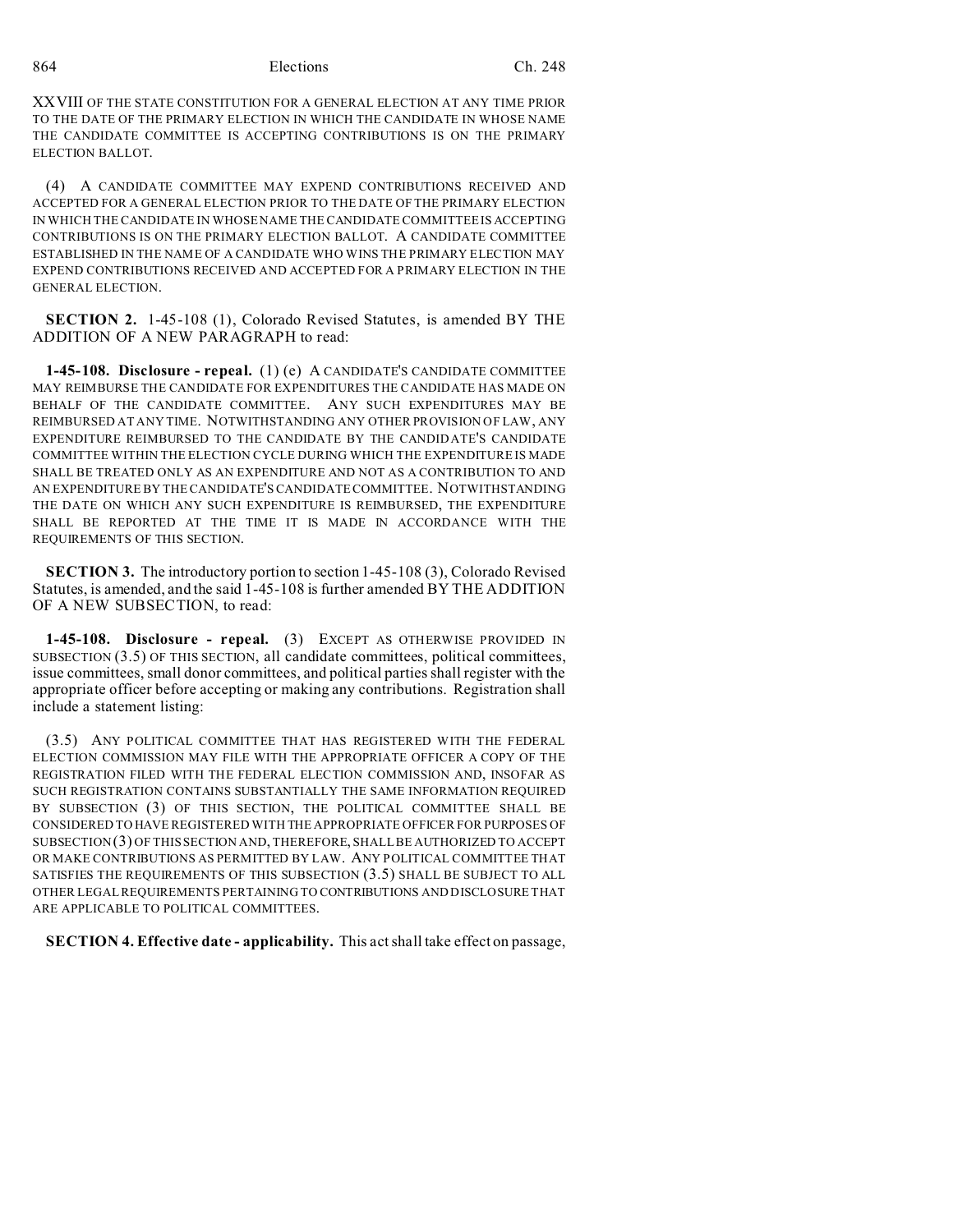864 Elections Ch. 248

XXVIII OF THE STATE CONSTITUTION FOR A GENERAL ELECTION AT ANY TIME PRIOR TO THE DATE OF THE PRIMARY ELECTION IN WHICH THE CANDIDATE IN WHOSE NAME THE CANDIDATE COMMITTEE IS ACCEPTING CONTRIBUTIONS IS ON THE PRIMARY ELECTION BALLOT.

(4) A CANDIDATE COMMITTEE MAY EXPEND CONTRIBUTIONS RECEIVED AND ACCEPTED FOR A GENERAL ELECTION PRIOR TO THE DATE OF THE PRIMARY ELECTION IN WHICH THE CANDIDATE IN WHOSE NAME THE CANDIDATE COMMITTEE IS ACCEPTING CONTRIBUTIONS IS ON THE PRIMARY ELECTION BALLOT. A CANDIDATE COMMITTEE ESTABLISHED IN THE NAME OF A CANDIDATE WHO WINS THE PRIMARY ELECTION MAY EXPEND CONTRIBUTIONS RECEIVED AND ACCEPTED FOR A PRIMARY ELECTION IN THE GENERAL ELECTION.

**SECTION 2.** 1-45-108 (1), Colorado Revised Statutes, is amended BY THE ADDITION OF A NEW PARAGRAPH to read:

**1-45-108. Disclosure - repeal.** (1) (e) A CANDIDATE'S CANDIDATE COMMITTEE MAY REIMBURSE THE CANDIDATE FOR EXPENDITURES THE CANDIDATE HAS MADE ON BEHALF OF THE CANDIDATE COMMITTEE. ANY SUCH EXPENDITURES MAY BE REIMBURSED AT ANY TIME. NOTWITHSTANDING ANY OTHER PROVISION OF LAW, ANY EXPENDITURE REIMBURSED TO THE CANDIDATE BY THE CANDIDATE'S CANDIDATE COMMITTEE WITHIN THE ELECTION CYCLE DURING WHICH THE EXPENDITURE IS MADE SHALL BE TREATED ONLY AS AN EXPENDITURE AND NOT AS A CONTRIBUTION TO AND AN EXPENDITURE BY THE CANDIDATE'S CANDIDATE COMMITTEE. NOTWITHSTANDING THE DATE ON WHICH ANY SUCH EXPENDITURE IS REIMBURSED, THE EXPENDITURE SHALL BE REPORTED AT THE TIME IT IS MADE IN ACCORDANCE WITH THE REQUIREMENTS OF THIS SECTION.

**SECTION 3.** The introductory portion to section 1-45-108 (3), Colorado Revised Statutes, is amended, and the said 1-45-108 is further amended BY THE ADDITION OF A NEW SUBSECTION, to read:

**1-45-108. Disclosure - repeal.** (3) EXCEPT AS OTHERWISE PROVIDED IN SUBSECTION (3.5) OF THIS SECTION, all candidate committees, political committees, issue committees, small donor committees, and political parties shall register with the appropriate officer before accepting or making any contributions. Registration shall include a statement listing:

(3.5) ANY POLITICAL COMMITTEE THAT HAS REGISTERED WITH THE FEDERAL ELECTION COMMISSION MAY FILE WITH THE APPROPRIATE OFFICER A COPY OF THE REGISTRATION FILED WITH THE FEDERAL ELECTION COMMISSION AND, INSOFAR AS SUCH REGISTRATION CONTAINS SUBSTANTIALLY THE SAME INFORMATION REQUIRED BY SUBSECTION (3) OF THIS SECTION, THE POLITICAL COMMITTEE SHALL BE CONSIDERED TO HAVE REGISTERED WITH THE APPROPRIATE OFFICER FOR PURPOSES OF SUBSECTION(3) OF THIS SECTION AND, THEREFORE, SHALL BE AUTHORIZED TO ACCEPT OR MAKE CONTRIBUTIONS AS PERMITTED BY LAW. ANY POLITICAL COMMITTEE THAT SATISFIES THE REQUIREMENTS OF THIS SUBSECTION (3.5) SHALL BE SUBJECT TO ALL OTHER LEGAL REQUIREMENTS PERTAINING TO CONTRIBUTIONS AND DISCLOSURE THAT ARE APPLICABLE TO POLITICAL COMMITTEES.

**SECTION 4. Effective date - applicability.** This act shall take effect on passage,